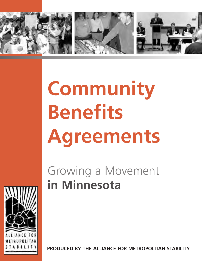

# **Community Benefits Agreements**

# Growing a Movement **in Minnesota**

**PRODUCED BY THE ALLIANCE FOR METROPOLITAN STABILITY**

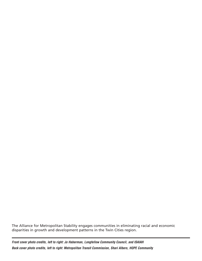The Alliance for Metropolitan Stability engages communities in eliminating racial and economic disparities in growth and development patterns in the Twin Cities region.

**Front cover photo credits, left to right: Jo Haberman, Longfellow Community Council, and ISAIAH Back cover photo credits, left to right: Metropolitan Transit Commission, Shari Albers, HOPE Community**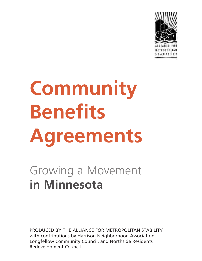

# **Community Benefits Agreements**

# Growing a Movement **in Minnesota**

PRODUCED BY THE ALLIANCE FOR METROPOLITAN STABILITY with contributions by Harrison Neighborhood Association, Longfellow Community Council, and Northside Residents Redevelopment Council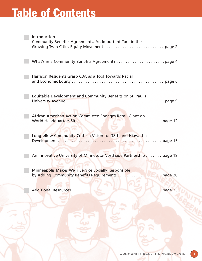# **Table of Contents**

| Introduction<br>Community Benefits Agreements: An Important Tool in the |
|-------------------------------------------------------------------------|
|                                                                         |
| Harrison Residents Grasp CBA as a Tool Towards Racial                   |
| Equitable Development and Community Benefits on St. Paul's              |
| African American Action Committee Engages Retail Giant on               |
| Longfellow Community Crafts a Vision for 38th and Hiawatha              |
| An Innovative University of Minnesota-Northside Partnership page 18     |
| Minneapolis Makes Wi-Fi Service Socially Responsible                    |
| <b>Additional Resources.</b><br>page 23                                 |
|                                                                         |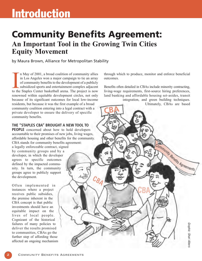## **Introduction**

### **Community Benefits Agreement:** An Important Tool in the Growing Twin Cities Equity Movement

**CBA**

**<sup>C</sup>B<sup>A</sup>**

by Maura Brown, Alliance for Metropolitan Stability

n May of 2001, a broad coalition of community allies in Los Angeles won a major campaign to tie an array of community benefits to the development of a publicly subsidized sports and entertainment complex adjacent In May of 2001, a broad coalition of community allies<br>in Los Angeles won a major campaign to tie an array<br>of community benefits to the development of a publicly<br>subsidized sports and entertainment complex adjacent<br>to the S renowned within equitable development circles, not only because of its significant outcomes for local low-income residents, but because it was the first example of a broad community coalition entering into a legal contract with a private developer to ensure the delivery of specific community benefits.

**THE "STAPLES CBA" BROUGHT A NEW TOOL TO**

**PEOPLE** concerned about how to hold developers accountable to their promises of new jobs, living wages, affordable housing and other benefits for the community. CBA stands for community benefits agreement: a legally enforceable contract, signed by community groups and by a developer, in which the developer agrees to specific outcomes defined by the impacted community. In turn, the community groups agree to publicly support the development.

Often implemented in instances where a project receives public subsidies, the premise inherent in the CBA concept is that public investments should have an equitable impact on the lives of local people. Cognizant of the historical failures of many policies to deliver the results promised to communities, CBAs go the further step of affording those affected an ongoing mechanism

through which to produce, monitor and enforce beneficial outcomes.

Benefits often detailed in CBAs include minority contracting, living-wage requirements, first-source hiring preferences, land banking and affordable housing set-asides, transit

**CBA**

integration, and green building techniques. Ultimately, CBAs are based



Community Benefits Agreements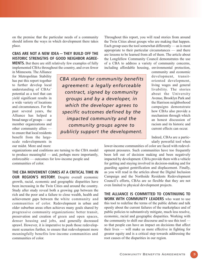on the premise that the particular needs of a community should inform the ways in which development there takes place.

### **CBAS ARE NOT A NEW IDEA — THEY BUILD OFF THE HISTORIC STRENGTHS OF GOOD NEIGHBOR AGREE-**

**MENTS.** But there are still relatively few examples of fully implemented CBAs throughout the country, and even fewer

in Minnesota. The Alliance for Metropolitan Stability has put this report together to further develop local understanding of CBAs' potential as a tool that can yield significant results in a wide variety of locations and circumstances. For the past several years, the Alliance has helped a broad range of groups — our member organizations and other community allies to ensure that local residents benefit from the largescale redevelopments in our midst. More and more

*CBA stands for community benefits CBA stands for community benefits agreement: a legally enforceable agreement: a legally enforceable contract, signed by community contract, signed by community groups and by a developer groups and by a developer, in which the developer agrees to which the developer agrees to specific outcomes defined by the specific outcomes defined by the impacted community and the impacted community and the community groups agree to community groups agree to publicly support the development. publicly support the development.*

Throughout this report, you will read stories from around the Twin Cities about groups who are making that happen. Each group uses the tool somewhat differently — as is most appropriate to their particular circumstances — and there are lessons to be learned from all of them. The article about the Longfellow Community Council demonstrates the use of a CBA to address a variety of community concerns, including affordable housing, environmental protection,

community and economic development, transitoriented development, living wages and general livability. The stories about the University Avenue, Brooklyn Park and the Harrison neighborhood campaigns demonstrate how CBAs also provide a mechanism through which an honest discussion of racism and its historic and current effects can occur.

Indeed, CBAs are a particularly powerful tool when

organizations and coalitions are turning to the CBA model to produce meaningful — and, perhaps more importantly, enforceable — outcomes for low-income people and communities of color.

**THE CBA MOVEMENT COMES AT A CRITICAL TIME IN OUR REGION'S HISTORY.** Despite overall economic growth, racial, economic and geographic disparities have been increasing in the Twin Cities and around the country. Study after study reveal both a growing gap between the rich and the poor and a failure to close wealth, health and achievement gaps between the white community and communities of color. Redevelopment in urban and older suburban areas often achieves many goals shared by progressive community organizations: better transit, preservation and creation of green and open spaces, denser housing and jobs, and generally decreased sprawl. However, it is imperative to push those redevelopment scenarios further, to ensure that redevelopment more meaningfully benefits low-income communities and communities of color.

lower-income communities of color are faced with redevelopment pressures. Such communities have too frequently been left out of decision making and been negatively impacted by development. CBAs provide them with a vehicle for getting and staying involved in decision-making and for guarding against gentrification and displacement. Finally, as you will read in the articles about the Digital Inclusion Campaign and the Northside Residents Redevelopment Council's efforts, CBAs are so flexible that they are not even limited to physical development projects.

**THE ALLIANCE IS COMMITTED TO CONTINUING TO WORK WITH COMMUNITY LEADERS** who want to use this tool to redefine the terms of the public debate and talk openly about the current failures of the marketplace and of public policies to substantively mitigate, much less resolve, economic, racial and geographic disparities. Working with the community to shift our discourse and to use this tool so that people can have an impact on decisions that affect their lives — will make us more effective in fighting for greater equity and is a critical step towards addressing the root causes of the disparities in our region.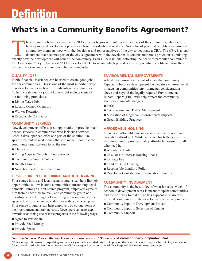# **Definition**

### **What's in a Community Benefits Agreement?**

he community benefits agreement (CBA) process begins with interested members of the community, who identify how a proposed development project can benefit residents and workers. Once a list of potential benefits is determined, community members meet with the developer and representatives of the city to negotiate a CBA. The CBA is a legal document that becomes part of the city's agreement with the developer. It contains numerous provisions stipulating exactly how a proposed development project can benefit residents and workers. Once a list of potential benefits is determined, community members meet with the developer and representatives of the city to negotiate a CBA. T The Center on Policy Initiatives (CPI) has developed a CBA menu, which provides a list of potential benefits and how they can help workers and communities. The menu includes:

### **QUALITY JOBS**

Public financial assistance can be used to create good jobs for our communities. This is one of the most important ways new development can benefit disadvantaged communities. To help create quality jobs, a CBA might include some of the following provisions:

- Living-Wage Jobs
- Locally Owned Operators
- Worker Retention
- Responsible Contractor

### **COMMUNITY SERVICES**

New developments offer a great opportunity to provide much needed services to communities who lack such services. Often a developer can offer one part of the solution like space, free rent or seed money that can make it possible for community organizations to do the rest.

- Childcare
- Filling Gaps in Neighborhood Services
- Community/ Youth Centers
- Health Clinics
- Neighborhood Improvement Fund

### **FIRST-SOURCE/LOCAL HIRING AND JOB TRAINING**

First-source hiring and local hiring programs can help link job opportunities to low-income communities surrounding developments. Through a first-source program, employers agree to hire from a specified source like a community group or a one-stop center. Through a local hiring program, employers agree to hire from certain zip codes surrounding the development. First-source programs can help employers by cutting down on their recruitment and training costs. Developers can take steps towards establishing one of these programs in the following ways:

- Agree to Participate
- Provide Seed Money
- Provide Space

### **ENVIRONMENTAL IMPROVEMENTS**

A healthy environment is part of a healthy community. Especially because development has negative environmental impacts on communities, environmental considerations, above and beyond the legally required Environmental Impact Report (EIR), will help protect the community from environmental dangers.

- Parks
- Construction and Traffic Management
- Mitigation of Negative Environmental Impacts
- Green Building Practices

### **AFFORDABLE HOUSING**

There is an affordable housing crisis. People do not make enough to afford rent. While we strive for better jobs, it is also important to provide quality affordable housing for all who need it.

- Affordable Units
- Low- or No-Interest Housing Loans
- Linkage Fee
- Land to Build Housing
- Responsible Landlord Policy
- Developer Contribution to Relocation Benefits

### **COMMUNITY INVOLVEMENT**

The community is the best judge of what it needs. Much of economic development work is meant to uplift communities and the best way to make sure this happens is to involve affected communities in the development approval process.

- Community Input in Development Process
- Community Input in Selection of Tenants
- Community Support

From the **Center on Policy Initiatives**. For more information, visit CPI's website at **www.onlinecpi.org/index.html**

CPI is a nonprofit research, organizing and advocacy organization dedicated to improving the lives of the working poor by building a movement for economic justice in San Diego. Promoting CBA strategies is a cornerstone of CPI's Responsible Development campaign.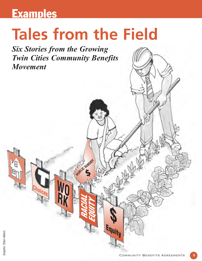## **Examples**

# **Tales from the Field**

**E**  $\frac{1}{2}$   $\frac{1}{2}$   $\frac{1}{2}$   $\frac{1}{2}$ 

**RACIAL** 

**EQUITY**

**\$**

**Equity**

**WO**

**RK Choices**

Six Stories from the Growing Twin Cities Community Benefits Movement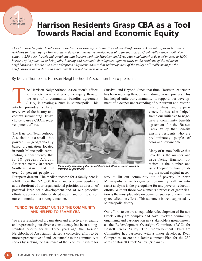Community<br>19 Benefits<br>Agreement<br>1 **Community Benefits** Agreement

### **Harrison Residents Grasp CBA as a Tool Towards Racial and Economic Equity**

The Harrison Neighborhood Association has been working with the Bryn Mawr Neighborhood Association, local businesses, residents and the city of Minneapolis to develop a master redevelopment plan for the Bassett Creek Valley since 1998. The valley, a 230-acre, largely industrial site that borders both the Harrison and Bryn Mawr neighborhoods is of interest to HNA because of its potential to bring jobs, housing and economic development opportunities to the residents of the adjacent neighborhoods. Yet there is also widespread skepticism about what redevelopment of the valley will really mean for the neighborhood and a desire to make sure this is not business as usual.

By Mitch Thompson, Harrison Neighborhood Association board president

he Harrison Neighborhood Association's efforts to promote racial and economic equity through the use of a community benefits agreement (CBA) is creating a buzz in Minneapolis. This The Harrison Neighton Property to promote racial<br>the use of a complete use of a complete to (CBA) is creating<br>article provides a brief

overview of the history and context surrounding HNA's choice to use a CBA in redevelopment efforts.

The Harrison Neighborhood Association is a small - but powerful — geographically based organization located in north Minneapolis representing a constituency that is 38 percent African American, nearly 30 percent Southeast Asian, and just over 20 percent people of



**Community members gather to celebrate and affirm a shared vision for Harrison Neighborhood.**

European descent. The median income for a family here is a little more than \$21,000. Racial and economic equity are at the forefront of our organizational priorities as a result of potential large scale development and of our proactive efforts to address institutionalized racism and its impacts on our community in a strategic manner.

### **"UNDOING RACISM" UNITED THE COMMUNITY AND HELPED TO FRAME CBA**

We are a resident-led organization and effectively engaging and representing our diverse constituency has been a longstanding priority for us. Three years ago, the Harrison Neighborhood Association started a concerted effort to be more representative of and accountable to the community it serves by seeking the assistance of the People's Institute for Survival and Beyond. Since that time, Harrison leadership has been working through an undoing racism process. This has helped unite our community; it supports our development of a deeper understanding of our current and historic

> relationships and experiences. It has also helped frame our initiative to negotiate a community benefits agreement for the Bassett Creek Valley that benefits existing residents who are predominately people of color and low-income.

> Many of us now believe that poverty is the number one issue facing Harrison, but racism is the number one issue keeping us from building the social capital neces-

sary to lift our community out of poverty. In north Minneapolis, a well-organized community with an antiracist analysis is the prerequisite for any poverty reduction efforts. Without those two elements a process of gentrification is the most plausible outcome for successful community revitalization efforts. This statement is well supported by Minneapolis history.

Our efforts to ensure an equitable redevelopment of Bassett Creek Valley are complex and have involved community organizing and participation in a stakeholders group known as the Redevelopment Oversight Committee (ROC) for Bassett Creek Valley. The Redevelopment Oversight Committee has partnered with a major developer, Ryan Companies, to create a Redevelopment Plan for the 230 acres of Bassett Creek Valley. (See map)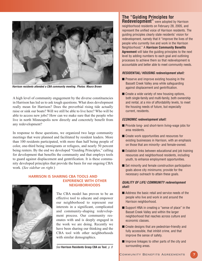

**Harrison residents attended a CBA community meeting. Photos: Maura Brown**

A high level of community engagement by the diverse constituencies in Harrison has led us to ask tough questions. What does development really mean for Harrison? Does the proverbial rising tide actually raise or sink our boats? Will we still be able to live here? Who will be able to access new jobs? How can we make sure that the people who live in north Minneapolis now directly and concretely benefit from any redevelopment?

In response to these questions, we organized two large community meetings that were planned and facilitated by resident leaders. More than 100 residents participated, with more than half being people of color, one-third being immigrants or refugees, and nearly 50 percent being renters. By the end we developed "Guiding Principles," calling for development that benefits the community and that employs tools to guard against displacement and gentrification. It is these community developed principles that provide the basis for our ongoing CBA work. (See sidebar on right.)



### **HARRISON IS SHARING CBA TOOLS AND EXPERIENCE WITH OTHER NEIGHBORHOODS**

The CBA model has proven to be an effective tool to educate and empower our neighborhood to represent our interests in a significant, complicated and community-shaping redevelopment process. Our community resonates with and is deeply engaged in the work we are doing. Recently we have been sharing our thinking and the CBA tool with other neighborhoods with similar demographics.

See **Harrison Residents Grasp CBA as Tool**, p. 8

### **The "Guiding Principles for Redevelopment**" were adopted by Harrison

neighborhood residents on February 28, 2005, and represent the unified voice of Harrison residents. The guiding principles clearly state residents' vision for redevelopment, namely that it "improve the lives of the people who currently live and work in the Harrison Neighborhood." A **Harrison Community Benefits Agreement** will take the guiding principles to the next level by adding numbers to each goal and outlining processes to achieve them so that redevelopment is accountable and better able to meet community needs.

#### **RESIDENTIAL/ HOUSING redevelopment shall:**

- Preserve and improve existing housing in the Bassett Creek Valley area while safeguarding against displacement and gentrification.
- $\blacksquare$  Create a wide variety of new housing options, both single-family and multi-family, both ownership and rental, at a mix of affordability levels, to meet the housing needs of future, but especially current, residents.

### **ECONOMIC redevelopment shall:**

- Provide long- and short-term living-wage jobs for area residents.
- Create work opportunities and resources for existing businesses in Harrison, with an emphasis on those that are minority- and female-owned.
- Establish links between educational and job training resources and neighborhood residents, including youth, to enhance employment opportunities.
- Set minority and female construction participation goals above city minimums; provide for the necessary outreach to attain these goals.

### **QUALITY OF LIFE/ COMMUNITY redevelopment shall:**

- Address the basic retail and service needs of the people who live and work in and around the Harrison neighborhood.
- Support HNA in creating a "sense of place" in the Basset Creek Valley and within the larger neighborhood that reaches across culture and economic classes.
- Create designs that are pedestrian-friendly and fully accessible, that inhibit crime, and that improve the sense of safety.
- Improve linkages to other parts of the city and surrounding areas.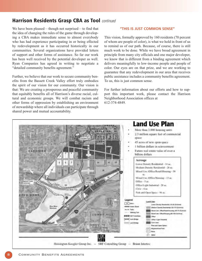### **Harrison Residents Grasp CBA as Tool continued**

We have been pleased — though not surprised — to find that the idea of changing the rules of the game through developing a CBA makes immediate sense to almost everybody who has had experience participating in or being effected by redevelopment as it has occurred historically in our communities. Several organizations have provided letters of support and other forms of assistance. So far our work has been well received by the potential developer as well. Ryan Companies has agreed in writing to negotiate a "detailed community benefits agreement."

Further, we believe that our work to secure community benefits from the Bassett Creek Valley effort truly embodies the spirit of our vision for our community. Our vision is that: We are creating a prosperous and peaceful community that equitably benefits all of Harrison's diverse racial, cultural and economic groups. We will combat racism and other forms of oppression by establishing an environment of stewardship where all individuals can participate through shared power and mutual accountability.

### **"THIS IS JUST COMMON SENSE"**

This vision, formally approved by 160 residents (70 percent of whom are people of color), is what we hold in front of us to remind us of our path. Because, of course, there is still much work to be done. While we have broad agreement in principle from many city officials and one major developer, we know that is different from a binding agreement which delivers meaningfully to low-income people and people of color. Our eyes are on that prize, and we are working to guarantee that any redevelopment in our area that receives public assistance includes a community benefits agreement. To us, this is just common sense.

For further information about our efforts and how to support this important work, please contact the Harrison Neighborhood Association offices at 612-374-4849.

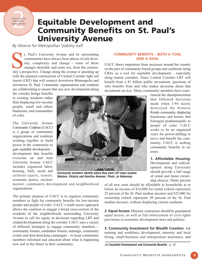### Community<br>
Benefits<br>
Agreement<br>
Person **Community Benefits** Agreement

### **Equitable Development and Community Benefits on St. Paul's University Avenue**

By Alliance for Metropolitan Stability staff

t. Paul's University Avenue and its surrounding communities have always been places of rich diversity, complexity and change — some of those changes desirable and some not, from the commut. Paul's University Avenue and its surrounding<br>communities have always been places of rich diver-<br>sity, complexity and change — some of those<br>changes desirable and some not, from the commu-<br>nity's perspective. Change alon with the planned construction of Central Corridor light rail transit (LRT) that will connect downtown Minneapolis and downtown St. Paul. Community organizations and residents are collaborating to ensure that any new development along

### **COMMUNITY BENEFITS – BOTH A TOOL AND A GOAL**

UACC draws inspiration from successes around the country on the part of community-based groups and coalitions using CBAs as a tool for equitable development — especially along transit corridors. Since Central Corridor LRT will benefit from a \$1 billion public investment, questions of who benefits from and who makes decisions about that investment are key. Many community members have expe-

the corridor brings benefits to existing residents rather than displacing low-income people, small and ethnic businesses, and communities of color.

The University Avenue Community Coalition (UACC) is a group of community organizations and residents working together to build power in the community to gain equitable development development that benefits everyone on and near University Avenue. UACC includes organized labor, housing, faith, racial and cultural equity, transit, economic justice, environ-



**Community members identify where they want LRT stops located: Western, Victoria and Hamline Avenues. Photo: Jo Haberman**

rienced the disempowerment that followed decisions made when I-94 nearly destroyed the historic Rondo community, displacing businesses and homes that belonged predominantly to people of color. UACC works to be an organized voice for power-shifting to serve and benefit the community. UACC is seeking community benefits in six areas:

**1. Affordable Housing:** Development and redevelopment along University should provide a full range of rental and home ownership choices. Thirty percent

mental, community development and neighborhood organizations.

The primary purpose of UACC is to organize community members to fight for community benefits for low-income people and people of color. UACC's multi-sector approach allows the coalition to engage a broad cross-section of the residents of the neighborhoods surrounding University Avenue to call for equity in decisions regarding LRT and related development along the corridor. UACC uses a variety of different strategies to engage community members community forums, candidates forums, trainings, community events and door-knocking campaigns — to keep community members informed and educated about what is happening now and in the future in their community.

of all new units should be affordable to households at or below an income of \$16,000 for rental (which represents 25 percent of the St. Paul median income) and \$25,000 for ownership (which represents 50 percent of the St. Paul median income), without displacing current residents.

**2. Equal Access:** Minority contractors should be guaranteed equal access, as well as full enforcement of civil rights provisions in economic development laws and policies.

**3. Community Investment for Wealth Creation**: Job training and workforce development, minority and local hiring, small-business and entrepreneur assistance, and

See **Equitable Development and Community Benefits** , p. 10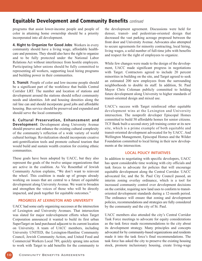### **Equitable Development and Community Benefits** continued

programs that assist lower-income people and people of color in attaining home ownership should be a priority incorporated into all development.

**4. Right to Organize for Good Jobs**: Workers in every community should have a living wage, affordable healthcare and pensions. They should also have the right to organize and to be fully protected under the National Labor Relations Act without interference from hostile employers. Participating labor unions should be fully committed to representing all workers, supporting local hiring programs and building power in their communities.

**5. Transit**: People of color and low-income people should be a significant part of the workforce that builds Central Corridor LRT. The number and location of stations and development around the stations should reflect community needs and identities. Job and housing densities along the rail line can and should incorporate good jobs and affordable housing. Bus service should be preserved and expanded and should serve the local community.

**6. Cultural Preservation, Enhancement and Development**: Development along University Avenue should preserve and enhance the existing cultural complexity of the community's reflection of a wide variety of world cultural heritage. Revitalization should incorporate creative anti-gentrification tools and promote cultural tourism that would build and sustain wealth creation for existing ethnic communities.

These goals have been adopted by UACC, but they also represent the goals of the twelve unique organizations that are active in the coalition. As Vic Rosenthal of Jewish Community Action explains, "We don't want to reinvent the wheel. This coalition is made up of groups already working on issues that are central to a future of equitable development along University Avenue. We want to broaden and strengthen the voices of those who will be directly impacted, and push together for equitable outcomes."

### **PROGRESS AT LEXINGTON AND UNIVERSITY**

UACC had some early organizing successes at the intersection of Lexington and University Avenues. That intersection was slated for major redevelopment efforts when Target Corporation announced it wanted to build its first urban SuperTarget on land purchased adjacent to its current location on University. A team of UACC members, including University UNITED, the Lexington-Hamline Community Council, Jewish Community Action, and United Food and Commercial Workers Local 789, quickly sprang into action to work with Target to add benefits for the community to

the development agreement. Discussions were held for denser, transit- and pedestrian-oriented design that decreased the vast parking acreage proposed between the front door and University Avenue. Advocates also attempted to secure agreements for minority contracting, local hiring, living wages, a solid number of full-time jobs with benefits and respect for the right of employees to organize.

While few changes were made to the design of the development, UACC made significant progress in negotiations with Target. Contractors agreed to include 20 percent minorities in building on the site, and Target agreed to seek an estimated 200 new employees from the surrounding neighborhoods to double its staff. In addition, St. Paul Mayor Chris Coleman publicly committed to holding future development along University to higher standards of transit-oriented design and mixed use.

UACC's success with Target reinforced other equitable development wins at the Lexington and University intersection. The nonprofit developer Episcopal Homes committed to build 50 affordable homes for senior citizens. TCF Bank built a second-story job training center at its new site, which is a prime example of both equitable and transit-oriented development advocated for by UACC. And Wellington Management, Episcopal Homes and the Wilder Foundation committed to local hiring in their new developments at the intersection.

### **LOCAL POLICY INITIATIVES**

In addition to negotiating with specific developers, UACC has spent considerable time working with city officials and task forces to advocate for policies that will encourage equitable development along the Central Corridor. UACC advocated for, and the St. Paul City Council passed, an interim zoning overlay ordinance, which is a tool for increased community control over development decisions on the corridor, requiring new land uses to conform to transitoriented development standards during a 12-month period. The ordinance will ensure that zoning and development policies, recommendations and strategies are fully considered by the community and the city of St. Paul.

UACC members also attended the city's Central Corridor Task Force meetings to advocate for equity considerations as the task force made recommendations to the city about its development strategy. Many principles and concepts advocated for by community-based organizations and residents made it into the task force's final recommendations. The task force has asked the city to preserve the existing housing stock, promote inclusionary housing, create living-wage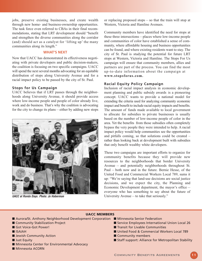jobs, preserve existing businesses, and create wealth through new home- and business-ownership opportunities. The task force even referred to CBAs in their final recommendations, stating that LRT development should "benefit and strengthen the diverse communities along the corridor (and) should act as a catalyst for 'lifting up' the many communities along its length."

### **WHAT'S NEXT**

Now that UACC has demonstrated its effectiveness negotiating with private developers and public decision-makers, the coalition is focusing on two specific campaigns. UACC will spend the next several months advocating for an equitable distribution of stops along University Avenue and for a racial impact policy to be passed by the city of St. Paul.

#### **Stops for Us Campaign**

UACC believes that if LRT passes through the neighborhoods along University Avenue, it should provide access where low-income people and people of color already live, work and do business. That's why the coalition is advocating for the city to change its plans — either by adding new stops



**UACC at Rondo Days. Photo: Jo Haberman**

or replacing proposed stops — so that the train will stop at Western, Victoria and Hamline Avenues.

Community members have identified the need for stops at these three intersections — places where low-income people and communities of color have established a sense of community, where affordable housing and business opportunities can be found, and where existing residents want to stay. The city of St. Paul is studying the potential for future LRT stops at Western, Victoria and Hamline. The Stops For Us campaign will ensure that community members, allies and partners are part of the process. You can find the most up-to-date information about the campaign at www.stopsforus.com.

### **Racial Equity Policy Campaign**

Inclusion of racial impact analysis in economic development planning and public subsidy awards is a pioneering concept. UACC wants to provide a national model for extending the criteria used for analyzing community economic impact and benefit to include racial equity impacts and benefits. The amount of funds made available to local government to allocate for subsidies to private businesses is usually based on the number of low-income people of color in the area. Yet the benefits from those subsidies often completely bypass the very people they were intended to help. A racial impact policy would help communities see the opportunities and pitfalls coming, so that solutions could be created – rather than looking back at development built with subsidies that only benefit wealthy white developers.

These two campaigns are important efforts to organize for community benefits because they will provide new resources to the neighborhoods that border University Avenue — and potentially neighborhoods throughout St. Paul — both now and in the future. Bernie Hesse, of the United Food and Commercial Workers Local 789, sums it up: "We're saying that land-use decisions are social justice decisions, and we expect the city, the Planning and Economic Development department, the mayor's office everyone who has something to say about the future of University Avenue — to take that seriously."

#### **UACC MEMBERS**

- Aurora/St. Anthony Neighborhood Development Corporation Minnesota Senior Federation
- Community Stabilization Project
- Got Voice-Got Power!
- ISAIAH
- Jewish Community Action
- Just Equity
- Minnesota Center for Environmental Advocacy
- Minnesota ACORN
- 
- Service Employees International Union Local 26
- Transit for Livable Communities
- United Food & Commercial Workers Local 789
- Community members
- Staff support: Alliance for Metropolitan Stability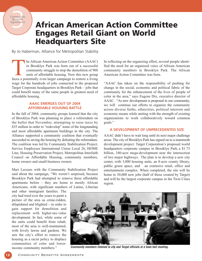### **African American Action Committee Engages Retail Giant on World Headquarters Site**

By Jo Haberman, Alliance for Metropolitan Stability

he African American Action Committee (AAAC) in Brooklyn Park was born out of a successful community struggle to stop the demolition of 900 units of affordable housing. Now this new group **faces a potentially even larger campaign to restore a living faces** a potentially even larger campaign to restore a living faces a potentially even larger campaign to restore a living wage for the hundreds of jobs connected to the proposed Target Corporate headquarters in Brooklyn Park — jobs that could benefit many of the same people in greatest need of affordable housing.

### **AAAC EMERGES OUT OF 2004 AFFORDABLE HOUSING BATTLE**

In the fall of 2004, community groups learned that the city of Brooklyn Park was planning to place a referendum on the ballot that November, attempting to raise taxes by \$35 million in order to "redevelop" some of the longstanding and most affordable apartment buildings in the city. The Alliance supported a community coalition that eventually succeeded in saving the housing by defeating the referendum. The coalition was led by Community Stabilization Project, Service Employees International Union Local 26, HOME Line, Housing Preservation Project, Metropolitan Interfaith Council on Affordable Housing, community members, home owners and small-business owners.

Mari Lecours with the Community Stabilization Project said about the campaign, "We weren't surprised, because Brooklyn Park had attempted to remove these affordable apartments before — they are home to mostly African Americans, with significant numbers of Latino, Liberian

and other immigrant families. The city had tried over the years to paint a picture of the area as crime-ridden, dilapidated and blighted — in order to gain support for demolition and replacement with higher-tax-value development. In fact, while some of the units could benefit from rehab, most of the area is well-maintained, with lovely lawns and gardens. We saw the city's effort to remove the housing as a racist policy to displace communities of color and lowerincome community members."

In reflecting on the organizing effort, several people identified the need for an organized voice of African American community members in Brooklyn Park. The African American Action Committee was born.

"AAAC has taken on the responsibility of pushing for change in the social, economic and political fabric of the community for the enhancement of the lives of people of color in the area," says Eugene Dix, executive director of AAAC. "As new development is proposed in our community, we will continue our efforts to organize the community across diverse faiths, ethnicities, political interests and economic means while uniting with the strength of existing organizations to work collaboratively toward common goals."

#### **A DEVELOPMENT OF UNPRECEDENTED SIZE**

AAAC didn't have to wait long until its next major challenge arose. The city of Brooklyn Park has signed on to a mammoth development project: Target Corporation's proposed world headquarters corporate campus in Brooklyn Park, a \$1.75 billion, 340-acre mega-development near the intersection of two major highways. The plan is to develop a new city center, with 3,000 housing units, an 8-acre county library, public green space, and an extensive retail, office and entertainment complex. When completed, the site will be home to 30,000 new jobs (half of those created by Target) and will be the largest corporate campus in the Twin Cities region.



**Community members listened to city and Target officials at a town hall meeting.**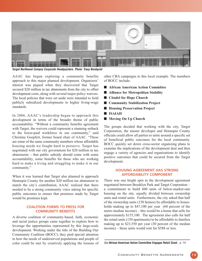

**Target Northwest Campus Corporate Headquarters. Photo: Tracy Nordquist**

AAAC has begun exploring a community benefits approach to this major planned development. Organizers' interest was piqued when they discovered that Target secured \$20 million in tax abatements from the city to offset development costs, along with several major policy waivers. The local policies that were set aside were intended to hold publicly subsidized developments to higher living-wage standards.

In 2006, AAAC's leadership began to approach this development in terms of the broader theme of public accountability. "Without a community benefits agreement with Target, the waivers could represent a stunning setback to the lower-paid workforce in our community," said Christine Goepfert, former board chair of AAAC. "These are some of the same community members whose affordable housing needs we fought hard to preserve. Target has negotiated with our city government for \$20 million in tax abatements — that public subsidy should come with some accountability, some benefits for those who are working hard to make a living and struggling to make it in our community."

When it was learned that Target also planned to approach Hennepin County for another \$20 million tax abatement to match the city's contribution, AAAC realized that there needed to be a strong community voice asking for specific public outcomes to ensure that promises made by Target would be promises kept.

### **COALITION FORMS TO PRESS FOR COMMUNITY BENEFITS**

A diverse coalition of community-based, faith, economic and racial justice groups came together to explore how to leverage the opportunities represented by this large-scale development. Working under the title of the Building Our Community Coalition (BOCC), they paid special attention to how the needs of underserved populations and people of color could be met by creatively applying the lessons of other CBA campaigns to this local example. The members of BOCC include:

- African American Action Committee
- Alliance for Metropolitan Stability
- Citadel for Hope Church
- Community Stabilization Project
- Housing Preservation Project
- ISAIAH
- Moving On Up Church

The groups decided that working with the city, Target Corporation, the master developer and Hennepin County officials could allow all parties to unite around a specific set of beneficial public outcomes for the local community. BOCC quickly set down cross-sector organizing plans to examine the implications of the development deal and then engage a variety of agencies and organizations to identify positive outcomes that could be secured from the Target development.

### **HOUSING AGREEMENT HAS STRONG AFFORDABILITY COMPONENT**

There was one bright spot in the development agreement negotiated between Brooklyn Park and Target Corporation – a commitment to build 600 units of below-market-rate housing on the site, equally divided between ownership units and rental units. Furthermore, the city asked that half of the ownership units (150 homes) be affordable to households making up to \$47,100 per year (60 percent of the metro median income) — this would be a home that sells for approximately \$155,100. The agreement also calls for half the rental units (150 apartments) to be affordable to families making up to \$23,550 per year (30 percent of the median income) – these units would rent for \$588 or less.

See **African American Action Committee Engages Retail Giant** , p. 14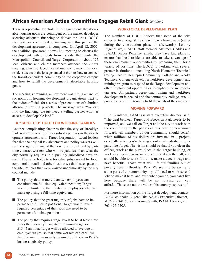### **African American Action Committee Engages Retail Giant** continued

There is a potential loophole in this agreement: the affordable housing goals are contingent on the master developer securing adequate financing to deliver the units. BOCC members are committed to making sure this part of the development agreement is completed. On April 12, 2007, the coalition sponsored a town hall meeting to discuss the development with officials from the city, the county, the Metropolitan Council and Target Corporation. About 125 local citizens and church members attended the 2-hour meeting, which surfaced ideas about how to maximize local resident access to the jobs generated at the site, how to connect the transit-dependent community to the corporate campus and how to fulfill the development's affordable housing goals.

The meeting's crowning achievement was sitting a panel of six nonprofit housing development organizations next to the invited officials for a series of presentations of suburban affordable housing projects. The message was: "We can find the financing, we just need a willing partner who has access to developable land."

### **A "TARGETED" FIGHT FOR WORKING FAMILIES**

Another complicating factor is that the city of Brooklyn Park waived several business subsidy policies in the development agreement with Target Corporation. Local leaders fear that the original tax abatement and policy waivers will set the stage for many of the new jobs to be filled by parttime contract workers who will be paid less than what the city normally requires in a publicly subsidized development. The same holds true for other jobs created by food, commercial, retail and other businesses that lease space on the site. Policies that were waived unanimously by the city council include:

- The policy that no more than two employees can constitute one full-time equivalent position; Target won't be limited to the number of employees who can make up a single full-time equivalent.
- $\blacksquare$  The policy that the great majority of jobs have to be permanent, full-time positions; Target won't have a required percentage of their jobs that need to be permanent full-time positions.
- The policy that requires wage levels to be at least three times the federally mandated minimum wage, or \$15.45 an hour. Target will be allowed to average all employee wages, so that some workers can earn less than the minimum usually required by Brooklyn Park's business-subsidy policy.

### **WORKFORCE DEVELOPMENT PLAN**

The members of BOCC believe that some of the jobs expected to emerge at the site will pay a living wage (either during the construction phase or afterwards). Led by Eugene Dix, ISAIAH staff member Maureen Geddes and ISAIAH leader Roxanne Smith, they have laid plans to ensure that local residents are able to take advantage of these employment opportunities by preparing them for a variety of positions. The BOCC is working with several partner institutions — including North Hennepin Technical College, North Hennepin Community College and Anoka Technical College to develop a workforce-development and training program to respond to the Target development and other employment opportunities throughout the metropolitan area. All partners agree that training and workforce development is needed and the community colleges would provide customized training to fit the needs of the employer.

### **MOVING FORWARD**

Julia Grantham, AAAC assistant executive director, said: "The deal between Target and Brooklyn Park needs to be improved, and we call on Target and the city to work with the community as the phases of this development move forward. All members of our community should benefit when millions of tax dollars are invested in a project, especially when you're talking about an already-huge company like Target. The vision should be that if you clean the offices, work at the pizza place in the Target building, or work as a nursing assistant at the clinic down the hall, you should be able to work full time, make a decent wage and have benefits. That's what will lift our families out of poverty here in Brooklyn Park. We seem to be saying to some parts of our community — you'll need to work several jobs to make it here, and even when you do, you can't live here because there will be no housing you can afford…Those are not the values this country aspires to."

For more information on the Target development, contact BOCC co-chairs Eugene Dix, AAAC Executive Director, at 763-503-0158, or Roxanne Smith, ISAIAH leader, at 763-425-6505.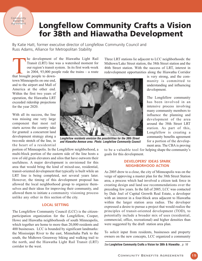### Community<br>Benefits<br>Agreement **Community** Benefits Agreement

### **Longfellow Community Crafts a Vision for 38th and Hiawatha Development**

By Katie Hatt, former executive director of Longfellow Community Council and Russ Adams, Alliance for Metropolitan Stability

he development of the Hiawatha Light Rail Transit (LRT) line was a watershed moment for our region's transit system. In its first work-week in 2004, 93,000 people rode the trains  $-$  a route

that brought people to downtown Minneapolis on one end, and to the airport and Mall of America at the other end. Within the first two years of operation, the Hiawatha LRT exceeded ridership projections for the year 2020.

With all its success, the line was missing one very large component that most rail starts across the country take for granted: a concurrent land development strategy along a two-mile stretch of the line, in the heart of a residential



**Longfellow residents envision the possibilities for the 38th Street and Hiawatha Avenue area. Photo: Longfellow Community Council**

portion of Minneapolis. In the Longfellow neighborhood, a multi-block portion of the eastern side of the line hosts a row of old grain elevators and silos that have outworn their usefulness. A major development is envisioned for this area that would bring the kind of mixed-use, residential, transit-oriented development that typically is built while an LRT line is being completed, not several years later. However, the timing of this development proposal has allowed the local neighborhood group to organize themselves and their ideas for improving their community, and allowed them to initiate a community visioning process unlike any other in this section of the city.

### **LOCAL SETTING**

The Longfellow Community Council (LCC) is the citizenparticipation organization for the Longfellow, Cooper, Howe and Hiawatha neighborhoods of south Minneapolis, which together are home to more than 20,000 residents and 400 businesses. LCC is bounded by significant landmarks: the Mississippi River to the east, Minnehaha Park to the south, the Midtown Greenway biking and walking trail to the north, and the Hiawatha Light Rail Transit (LRT) corridor to the west.

Transit (LRT) line was a watershed moment for<br>
Transit (LRT) line was a watershed moment for<br>
our region's transit system. In its first work-week<br>
in 2004, 93,000 people rode the trains — a route<br>
that brought people to do Midtown/Lake Street station, the 38th Street station and the 46th Street station. With the success of LRT, interest in redevelopment opportunities along the Hiawatha Corridor

is very strong, and the community is committed to understanding and influencing development.

The Longfellow community has been involved in an intensive process involving many community members to influence the planning and development of the area around the 38th Street LRT station. As part of this, Longfellow is creating a community benefits agreement for a portion of the development area. The CBA is proving

to be a valuable tool for helping shape the community's goals for this development.

### **DEVELOPERS' IDEAS SPARK NEIGHBORHOOD ACTION**

As 2005 drew to a close, the city of Minneapolis was on the verge of approving a master plan for the 38th Street Station area, a process which had involved a citizen task force in creating design and land use recommendations over the preceding few years. In the fall of 2005, LCC was contacted by Dale Joel of Capital Growth Real Estate, a developer with an interest in a four-block area adjacent to Hiawatha within the larger station area radius. The developer expressed a desire to pursue a project that would realize the principles of transit-oriented development (TOD), to potentially include a broader mix of uses (residential, commercial, office, recreational) and higher densities than were suggested by the draft station area plan.

To solicit input from residents, businesses and property owners on the new concepts, LCC organized a community

See **Longfellow Community Crafts a Vision for 38th & Hiawatha** , p. 16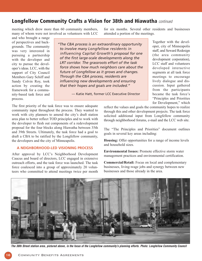### **Longfellow Community Crafts a Vision for 38th and Hiawatha** continued

meeting which drew more than 60 community members, many of whom were not involved as volunteers with LCC

and who brought a range of perspectives and backgrounds. The community was very interested in pursuing a partnership with the developer and city to pursue the developer's ideas. LCC, with the support of City Council Members Gary Schiff and Sandy Colvin Roy, took action by creating the framework for a community-based task force and process.

*"The CBA process is an extraordinary opportunity to involve many Longfellow residents in influencing Capital Growth's proposal for one of the first large-scale developments along the LRT corridor. The grassroots effort of the task force shows how much neighbors care about the future of Longfellow as it grows and changes. Through the CBA process, residents are influencing new developments and ensuring that their hopes and goals are included."*

— Katie Hatt, former LCC Executive Director

for six months. Several other residents and businesses attended a portion of the meetings.

> Together with the developer, city of Minneapolis staff, and Seward Redesign (the area community development corporation), LCC staff and volunteers developed interactive segments at all task force meetings to encourage lively dialogue and discussion. Input gathered from the participants became the task force's "Principles and Priorities for Development," which

The first priority of the task force was to ensure adequate community input throughout the process. They wanted to work with city planners to amend the city's draft station area plan to better reflect TOD principles and to work with the developer to flesh out components of a redevelopment proposal for the four blocks along Hiawatha between 35th and 39th Streets. Ultimately, the task force had a goal to draft a CBA to be ratified by the Longfellow community, the developers and the city of Minneapolis.

### **A NEIGHBORHOOD-LED VISIONING PROCESS**

After approval by LCC's Neighborhood Development Caucus and board of directors, LCC engaged in extensive outreach efforts, and the task force was launched. The task force coalesced into a group of approximately 20 volunteers who committed to attend meetings twice per month

reflect the values and goals the community hopes to realize through this and other development projects. The task force solicited additional input from Longfellow community through neighborhood forums, e-mail and the LCC web site.

The "The Principles and Priorities" document outlines goals in several key areas including:

Housing: Offer opportunities for a range of income levels and household sizes.

Environmental Issues: Promote effective storm water management practices and environmental certification.

Commercial/Retail: Focus on local and complementary businesses, living-wage jobs and synergy between new businesses and those already in the area.



**The 38th Street station area, pictured above, is the focus of the Longfellow community's planning efforts. Photo: Longfellow Community Council**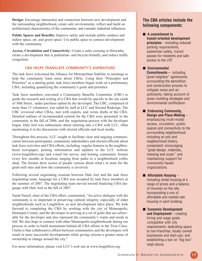Design: Encourage interaction and connection between new development and the surrounding neighborhood, create safe environments, reflect and build on architectural characteristics of the community, and consider industrial influences.

Public Spaces and Benefits: Improve safety and include public outdoor and indoor space, art, and green space. Use public space to connect development with the community.

Access, Circulation and Connectivity: Create a safer crossing at Hiawatha, create a development that is pedestrian- and bicycle-friendly, and reduce traffic congestion.

### **CBA HELPS TRANSLATE COMMUNITY'S ASPIRATIONS**

The task force welcomed the Alliance for Metropolitan Stability to meetings to help the community learn more about CBAs. Using their "Principles and Priorities" as a starting point, task force members began work on a preliminary CBA, including quantifying the community's goals and priorities.

Task force members convened a Community Benefits Committee (CBC) to guide the research and writing of a CBA that would be specific to the site south of 38th Street, under purchase option by the developer. The CBC, comprised of more than 15 volunteers, was aided by staff at LCC and Seward Redesign. The CBC reviewed other CBAs, met with experts, and wrote drafts of the CBA. Detailed outlines of recommended content for the CBA were presented to the community in the fall of 2006, and the negotiation process with the developer began. Dale Joel was enthusiastic about entering into a CBA with LCC, often mentioning it in his discussions with elected officials and local media.

Throughout this process, LCC sought to facilitate clear and ongoing communication between participants, community stakeholders and elected officials about task force activities and CBA efforts, including: regular features in the neighborhood newspaper; posting information and updates to the LCC website (www.longfellow.org) and e-mail list serves; and hosting community forums every few months at locations ranging from parks to a neighborhood coffee shop. The forums drew scores of people curious about what's in store for the grain mill sites and how the community is involved.

Following several negotiating sessions between Dale Joel and the task force negotiating team, language for a CBA was accepted by task force members in the summer of 2007. The negotiating team moved toward finalizing CBA language with Dale Joel in the fall of 2007.

Sarah Nassif, chair of the CBA effort, commented, "An active dialogue with the community is so important in preserving cultural integrity, especially of older neighborhoods such as Longfellow, as new development takes place. We look forward to completing the CBA by working with the city of Minneapolis, Hennepin County, and the developer in arriving at a set of goals that are achievable for the developer and also represent the community's wants and needs in full. We also hope to connect with other Minneapolis neighborhoods during our process in order to build momentum behind all CBA efforts in the Twin Cities. I believe that collaborative efforts between communities and the developers will result in more successful developments while giving citizens a greater sense of ownership in change around the city."

For more information, please visit LCC's web site at www.longfellow.org.

### **The CBA articles include the following components:**

- **A** commitment to **transit-oriented development principles** – including reduced parking requirements, pedestrian safety, transit passes for residents and safe access to the LRT.
- **Environmental Commitments** — including "good neighbor" agreements surrounding the demolition and construction process to mitigate noise and air pollutants; taking account of green building strategies and environmental certification.
- **Embracing Community. Design and Place-Making** – emphasizing multi-modal access, circulation, public spaces and connectivity to the surrounding neighborhood; including an arts and neighborhood history component; encouraging "great design, materials, massing and scale;" and maintaining support for community-based organizations.
- **Affordable Housing** including rental housing at a range of prices and a balance of incomes on the site; incorporating a mix of affordable and market-rate housing in each building.
- **Economic Development and Employment** – creating hiring and wage goals compatible with city requirements; dedicating space to non-franchise, locally owned businesses and start-ups; and extablishing a ban on "big box" retail stores.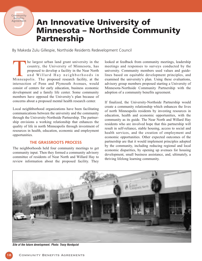Community<br>Benefits<br>Agreement<br>Therman **Community** Benefits Agreement

### **An Innovative University of Minnesota – Northside Community Partnership**

By Makeda Zulu Gillespie, Northside Residents Redevelopment Council

he largest urban land grant university in the country, the University of Minnesota, has proposed to develop a facility in the Near North and Willard Hay neighborhoods in The largest urban land grant university in the country, the University of Minnesota, has proposed to develop a facility in the Near North and Willard Hay neighborhoods in Minneapolis. The proposed research facility, at the intersection of Penn and Plymouth Avenues, would consist of centers for early education, business economic development and a family life center. Some community members have opposed the University's plan because of concerns about a proposed mental health research center.

Local neighhborhood organizations have been facilitating communications between the university and the community through the University-Northside Partnership. The partnership envisions a working relationship that enhances the quality of life in north Minneapolis through investment of resources in health, education, economic and employment opportunities.

### **THE GRASSROOTS PROCESS**

The neighborhoods held four community meetings to get community input. Then they formed a community advisory committee of residents of Near North and Willard Hay to review information about the proposed facility. They looked at feedback from community meetings, leadership meetings and responses to surveys conducted by the university. Community members used values and guidelines based on equitable development principles, and examined the university's plan. Using these evaluations, advisory group members proposed starting a University of Minnesota-Northside Community Partnership with the adoption of a community benefits agreement.

If finalized, the University-Northside Partnership would create a community relationship which enhances the lives of north Minneapolis residents by investing resources in education, health and economic opportunities, with the community as its guide. The Near North and Willard Hay residents who are involved hope that this partnership will result in self-reliance, stable housing, access to social and health services, and the creation of employment and economic opportunities. Other expected outcomes of the partnership are that it would implement principles adopted by the community, including reducing regional and local economic disparities, by opening up avenues for housing development, small business assistance, and, ultimately, a thriving lifelong learning community.



**Site of the future development. Photo: Tracy Nordquist**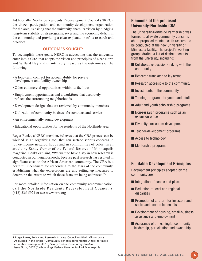Additionally, Northside Residents Redevelopment Council (NRRC), the citizen participation and community-development organization for the area, is asking that the university share its vision by pledging long-term stability of its programs, reversing the economic deficit in the community and providing a clear explanation of its research and practices.

### **OUTCOMES SOUGHT:**

To accomplish these goals, NRRC is advocating that the university enter into a CBA that adopts the vision and principles of Near North and Willard Hay and quantifiably measures the outcomes of the following:

- A long-term contract for accountability for private development and facility ownership
- Other commercial opportunities within its facilities
- Employment opportunities and a workforce that accurately reflects the surrounding neighborhoods
- Development designs that are reviewed by community members
- Utilization of community business for contracts and services
- An environmentally sound development
- Educational opportunities for the residents of the Northside area

Roger Banks, a NRRC member, believes that the CBA process can be wielded as an organizing tool that can surface serious concerns in lower-income neighborhoods and in communities of color. In an article by Sandy Gerber of the Federal Reserve of Minneapolis magazine, Banks explains, "We want to have a say in how research is conducted in our neighborhoods, because past research has resulted in significant costs to the African-American community. The CBA is a beautiful mechanism for responding to the fears of the community, establishing what the expectations are and setting up measures to determine the extent to which those fears are being addressed."1

For more detailed information on the community recommendation, call the Northside Residents Redevelopment Council at (612) 335-5924 or see www.nrrc.org

1 Roger Banks, Policy and Research Analyst, Council on Black Minnesotans. As quoted in the article "Community benefits agreements: A tool for more equitable development?" by Sandy Gerber, *Community Dividend*, Issue No. 4, 2007 (forthcoming), Federal Reserve Bank of Minneapolis.

### **Elements of the proposed University-Northside CBA**

The University-Northside Partnership was formed to alleviate community concerns about proposed mental health research to be conducted at the new University of Minnesota facility. The project's working groups drafted a list of desired benefits from the university, including:

- Collaborative decision-making with the community
- Research translated to lay terms
- Research accessible to the community
- Investments in the community
- Training programs for youth and adults
- Adult and youth scholarship programs
- Non-research programs such as an extension office
- Diversity curriculum development
- Teacher-development programs
- Access to technology
- Mentorship programs

### **Equitable Development Principles**

Development principles adopted by the community are:

- Integration of people and place
- Reduction of local and regional disparities
- Promotion of a return for investors and social and economic benefits
- Development of housing, small-business assistance and employment
- Assurance of a meaningful community leadership, participation and ownership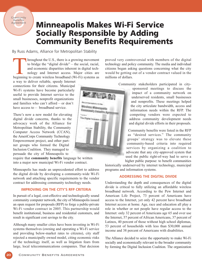### Community<br>Benefits<br>Agreement Community Benefits Agreement

### **Minneapolis Makes Wi-Fi Service Socially Responsible by Adding Community Benefits Requirements**

By Russ Adams, Alliance for Metropolitan Stability

hroughout the U.S., there is a growing movement to bridge the "digital divide" — the social, racial, and economic disparities inherent in digital technology and Internet access. Major cities are broughout the U.S., there is a growing movement<br>to bridge the "digital divide" — the social, racial,<br>and economic disparities inherent in digital tech-<br>nology and Internet access. Major cities are<br>beginning to create wirel

a way to deliver reliable, speedy Internet connections for their citizens. Municipal Wi-Fi systems have become particularly useful to provide Internet service to the small businesses, nonprofit organizations and families who can't afford — or don't have access to — broadband service.

There's now a new model for elevating digital divide concerns, thanks to the advocacy work of the Alliance for Metropolitan Stability, the Community Computer Access Network (CCAN), the AmeriCorps Community Technology Empowerment project, and other partner groups who formed the Digital Inclusion Coalition. They managed to persuade the city of Minneapolis to

require that **community benefits** language be written into a major new municipal Wi-Fi vendor contract.

Minneapolis has made an unprecedented effort to address the digital divide by developing a community-wide Wi-Fi network and attaching specific requirements to the vendor contract for addressing community technology needs.

### **IMPROVING ON THE CITY'S RFP CRITERIA**

In pursuit of a legal, cost-effective and technologically sound community computer network, the city of Minneapolis issued an open request for proposals (RFP) to forge a public-private Wi-Fi vendor contract in 2005. This partnership would benefit institutional, business and residential customers, and result in significant cost savings to the city.

Although many smaller cities have been investing in Wi-Fi systems themselves (owning and operating a Wi-Fi service and providing below-market rates to citizens), city staff rejected a municipally owned model, citing economic risks of the technology itself, as well as litigation fears from large, local telecommunications companies. That decision

proved very controversial with members of the digital technology and policy community. The media and individual citizens began asking questions concerning what the city would be getting out of a vendor contract valued in the millions of dollars.

Community stakeholders participated in city-

sponsored meetings to discuss the impact of a community network on underserved residents, small businesses and nonprofits. These meetings helped the city articulate bandwidth, access and information needs within the RFP. The competing vendors were expected to address community development needs and digital divide efforts in their proposals.

Community benefits were listed in the RFP as "desired services." The community groups' strategy was to elevate these community-based criteria into required services by organizing a coalition to advocate that any city-approved system that used the public right-of-way had to serve a higher public purpose: to benefit communities

historically underserved by internet technology, municipal programs and information systems.

### **ADDRESSING THE DIGITAL DIVIDE**

Understanding the depth and consequences of the digital divide is critical to fully utilizing an affordable wireless broadband network. According to the Pew Internet and American Life Project, 73 percent of Americans have access to the Internet, yet only 42 percent have broadband Internet access at home. Age, race and education all play a role in whether or not people have regular access to the Internet: only 32 percent of Americans age 65 and over use the Internet, 57 percent of African Americans, 37 percent of Latinos, 40 percent of those without high school diplomas, 53 percent of households with less than \$30,000 annual income and 38 percent of Americans with disabilities.

The Alliance decided to seize the opportunity to make Wi-Fi socially and economically relevant to the broader community by forming the Digital Inclusion Coalition. The organization

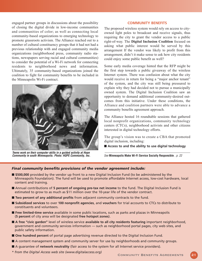engaged partner groups in discussions about the possibility of closing the digital divide in low-income communities and communities of color; as well as connecting local community-based organizations to emerging technology to promote grassroots activism. The Alliance reached out to a number of cultural constituency groups that it had not had a previous relationship with and engaged community media organizations (neighborhood press, community radio stations, newspapers serving racial and cultural communities) to consider the potential of a Wi-Fi network for connecting residents to neighborhood news and information. Ultimately, 35 community-based organizations joined the coalition to fight for community benefits to be included in the Minneapolis Wi-Fi contract.



**Teens work on their computer skills in a guided activity at Hope Community in south Minneapolis. Photo: HOPE Community, Inc.** See **Minneapolis Make Wi-Fi Service Socially Responsible** , p. 22

#### **COMMUNITY BENEFITS**

The proposed wireless system would rely on access to cityowned light poles to broadcast and receive signals, thus requiring the city to grant the vendor access to a public right-of-way. The Digital Inclusion Coalition focused on asking what public interest would be served by this arrangement If the vendor was likely to profit from this arrangement, didn't it make sense to ask how city residents could enjoy some public benefit as well?

Some early media coverage hinted that the RFP might be the first step towards a public giveaway of the wireless Internet system. There was confusion about what the city would receive in return for being a "major anchor tenant" of the system, and the city was still being pressured to explain why they had decided not to pursue a municipally owned system. The Digital Inclusion Coalition saw an opportunity to demand additional community-desired outcomes from this initiative. Under these conditions, the Alliance and coalition partners were able to advance a community benefits agreement approach.

The Alliance hosted 16 roundtable sessions that gathered local nonprofit organizations, community technology centers (CTCs), neighborhood activists and other citizens interested in digital technology efforts.

The group's vision was to create a CBA that promoted digital inclusion, including:

■ **Access to and the ability to use digital technology** 

### *Final community benefits provisions of the vendor agreement include:*

- \$500,000 provided by the vendor up front to a new Digital Inclusion Fund (to be administered by the Minneapolis Foundation). The fund will be used to promote affordable Internet access, low-cost hardware, local content and training.
- Annual contributions of **5 percent of ongoing pre-tax net income** to the fund. The Digital Inclusion Fund is estimated to grow to as much as \$11 million over the 10-year life of the vendor contract.
- **Two percent of any additional profits** from adjacent community contracts to the fund.
- **Subsidized services** to over 100 nonprofit agencies, and **vouchers** for trial accounts to CTCs to distribute to constituents and volunteers.
- **Free limited-time service** available in some public locations, such as parks and plazas in Minneapolis (**5 percent** of city area will be designated **free hotspot zones**).
- **A free "civic garden"** level of wireless service **available to all city residents featuring** important neighborhood, government and community services information — such as neighborhood portal pages, city web sites, and public safety information.
- **One hundred percent** of portal page advertising revenue directed to the Digital Inclusion Fund.
- A content management system and community server for use by neighborhoods and community groups.
- A guarantee of **network neutrality** (fair access to the system for all Internet service providers).
- *\* from the Digital Access web site (www.digitalaccess.org)* Community Benefits Agreements 21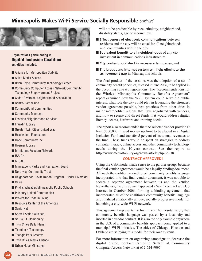### **Minneapolis Makes Wi-Fi Service Socially Responsible** continued



### **Organizations participating in Digital Inclusion Coalition activities included:**

- Alliance for Metropolitan Stability
- Asian Media Access
- Brian Coyle Community Technology Center
- Community Computer Access Network/Community Technology Empowerment Project
- Cedar Riverside Neighborhood Association
- Centro Campesino
- CommonBond Communities
- Community Members
- Eastside Neighborhood Services
- Franklin Library
- Greater Twin Cities United Way
- Headwaters Foundation
- Hope Community Inc.
- Hosmer Library
- Immigrant Freedom Network
- ISAIAH
- MICAH
- Minneapolis Parks and Recreation Board
- Northway Community Trust
- Neighborhood Revitalization Program Cedar Riverside
- Osiris
- Phyllis Wheatley/Minneapolis Public Schools
- Pillsbury United Communities
- Project for Pride in Living
- Resource Center of the Americas
- SeniorNet
- Somali Action Alliance
- St. Paul E-Democracy
- Twin Cities Daily Planet
- Teaming 4 Technology
- Triangle Park Creative
- Twin Cities Media Alliance
- Urban Hope Ministries

will not be predictable by race, ethnicity, neighborhood, disability status, age or income level

- **Effectiveness of electronic communications** between residents and the city will be equal for all neighborhoods and communities within the city
- **Equivalent benefit to all neighborhoods** of any city investment in communications infrastructure
- City content published in necessary languages, and
- **The broadband Internet system will help eliminate the achievement gap** in Minneapolis schools.

The final product of the sessions was the adoption of a set of community benefit principles, released in June 2006, to be applied in the upcoming contract negotiations. The "Recommendations for the Wireless Minneapolis Community Benefits Agreement" report examined how the Wi-Fi system could serve the public interest, what role the city could play in leveraging the strongest vendor agreement possible, best practices from other cities in major metropolitan regions that have negotiated with vendors, and how to secure and direct funds that would address digital literacy, access, hardware and training needs.

The report also recommended that the selected vendor provide at least \$500,000 in seed money up front to be placed in a Digital Inclusion Fund and transfer 5 percent of its annual revenues to the fund. These funds would be spent on strategies to address computer literacy, online access and other community technology needs during the 10-year contract See the report at http://www.metrostability.org/news/article.php?id=38.

### **CONTRACT APPROVED!**

Using the CBA model made sense to the partner groups because the final vendor agreement would be a legally binding document. Although the coalition worked to get community benefits language incorporated into that final vendor document, it was not able to secure a separate agreement between us and the vendor. Nevertheless, the city council approved a Wi-Fi contract with US Internet in October 2006, forming a binding agreement that incorporated all of the coalition's community benefits language and finalized a nationally unique, socially progressive model for launching a city-wide Wi-Fi network.

This agreement represents the first time in Minnesota history that community benefits language was passed by a local city and inserted in a vendor contract. It is also the only example anywhere in the U.S. of a community benefits approach being applied to a municipal Wi-Fi initiative. The cities of Chicago, Houston and Oakland are studying this model for their own systems.

For more information on organizing campaigns to decrease the digital divide, contact Catherine Settani at Community Computer Access Network at 612-724-9097.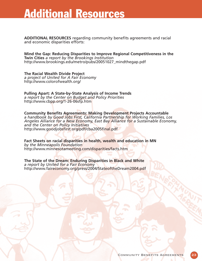## **Additional Resources**

**ADDITIONAL RESOURCES** regarding community benefits agreements and racial and economic disparities efforts:

**Mind the Gap: Reducing Disparities to Improve Regional Competitiveness in the Twin Cities** *a report by the Brookings Institution* http://www.brookings.edu/metro/pubs/20051027\_mindthegap.pdf

**The Racial Wealth Divide Project** *a project of United for A Fair Economy* http://www.colorofwealth.org/

**Pulling Apart: A State-by-State Analysis of Income Trends** *a report by the Center on Budget and Policy Priorities* http://www.cbpp.org/1-26-06sfp.htm

**Community Benefits Agreements: Making Development Projects Accountable**  *a handbook by Good Jobs First, California Partnership for Working Families, Los Angeles Alliance for a New Economy, East Bay Alliance for a Sustainable Economy, and the Center on Policy Initiatives* http://www.goodjobsfirst.org/pdf/cba2005final.pdf

**Fact Sheets on racial disparities in health, wealth and education in MN**  *by the Minneapolis Foundation* http://www.minnesotameeting.com/disparities/facts.htm

**The State of the Dream: Enduring Disparities in Black and White** *a report by United for a Fair Economy* http://www.faireconomy.org/press/2004/StateoftheDream2004.pdf